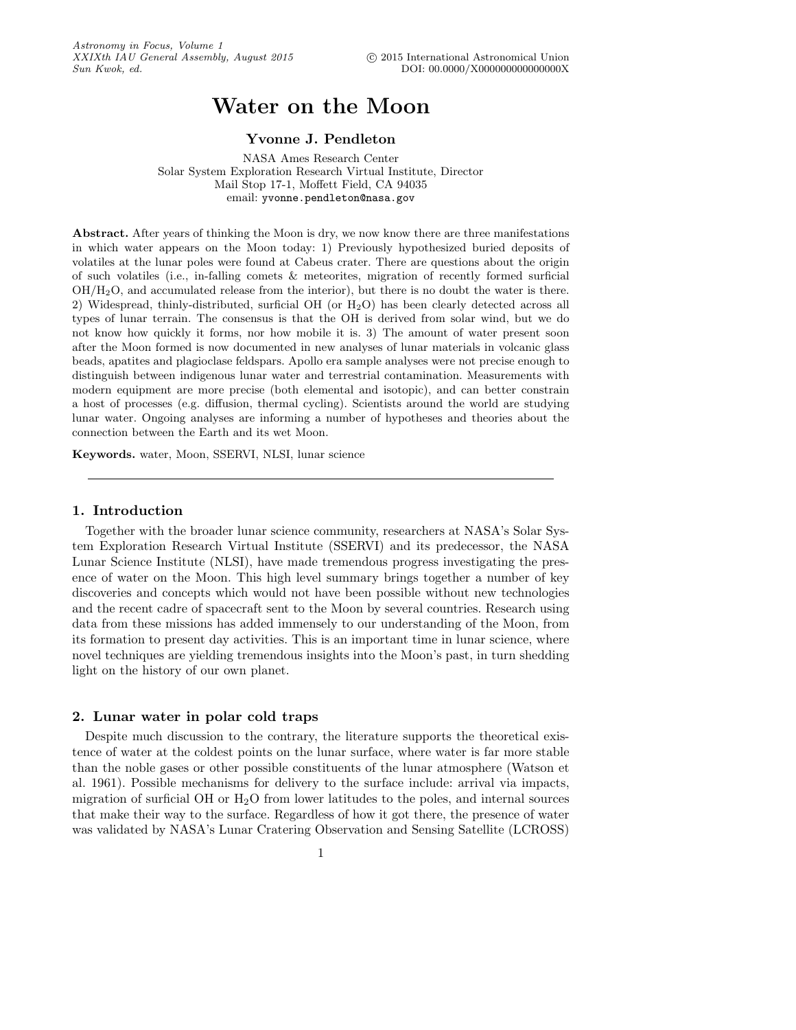Astronomy in Focus, Volume 1 XXIXth IAU General Assembly, August 2015 Sun Kwok, ed.

 c 2015 International Astronomical Union DOI: 00.0000/X000000000000000X

# Water on the Moon

#### Yvonne J. Pendleton

NASA Ames Research Center Solar System Exploration Research Virtual Institute, Director Mail Stop 17-1, Moffett Field, CA 94035 email: yvonne.pendleton@nasa.gov

Abstract. After years of thinking the Moon is dry, we now know there are three manifestations in which water appears on the Moon today: 1) Previously hypothesized buried deposits of volatiles at the lunar poles were found at Cabeus crater. There are questions about the origin of such volatiles (i.e., in-falling comets & meteorites, migration of recently formed surficial OH/H2O, and accumulated release from the interior), but there is no doubt the water is there. 2) Widespread, thinly-distributed, surficial OH (or H2O) has been clearly detected across all types of lunar terrain. The consensus is that the OH is derived from solar wind, but we do not know how quickly it forms, nor how mobile it is. 3) The amount of water present soon after the Moon formed is now documented in new analyses of lunar materials in volcanic glass beads, apatites and plagioclase feldspars. Apollo era sample analyses were not precise enough to distinguish between indigenous lunar water and terrestrial contamination. Measurements with modern equipment are more precise (both elemental and isotopic), and can better constrain a host of processes (e.g. diffusion, thermal cycling). Scientists around the world are studying lunar water. Ongoing analyses are informing a number of hypotheses and theories about the connection between the Earth and its wet Moon.

Keywords. water, Moon, SSERVI, NLSI, lunar science

#### 1. Introduction

Together with the broader lunar science community, researchers at NASA's Solar System Exploration Research Virtual Institute (SSERVI) and its predecessor, the NASA Lunar Science Institute (NLSI), have made tremendous progress investigating the presence of water on the Moon. This high level summary brings together a number of key discoveries and concepts which would not have been possible without new technologies and the recent cadre of spacecraft sent to the Moon by several countries. Research using data from these missions has added immensely to our understanding of the Moon, from its formation to present day activities. This is an important time in lunar science, where novel techniques are yielding tremendous insights into the Moon's past, in turn shedding light on the history of our own planet.

## 2. Lunar water in polar cold traps

Despite much discussion to the contrary, the literature supports the theoretical existence of water at the coldest points on the lunar surface, where water is far more stable than the noble gases or other possible constituents of the lunar atmosphere (Watson et al. 1961). Possible mechanisms for delivery to the surface include: arrival via impacts, migration of surficial OH or  $H_2O$  from lower latitudes to the poles, and internal sources that make their way to the surface. Regardless of how it got there, the presence of water was validated by NASA's Lunar Cratering Observation and Sensing Satellite (LCROSS)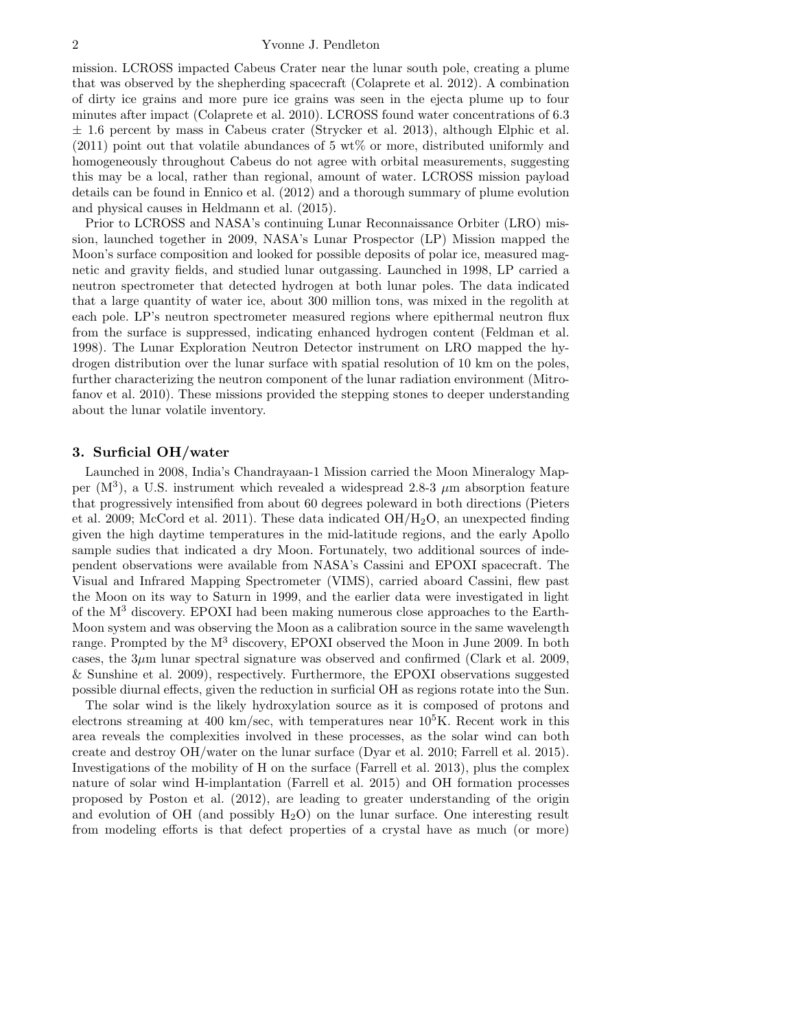#### 2 Yvonne J. Pendleton

mission. LCROSS impacted Cabeus Crater near the lunar south pole, creating a plume that was observed by the shepherding spacecraft (Colaprete et al. 2012). A combination of dirty ice grains and more pure ice grains was seen in the ejecta plume up to four minutes after impact (Colaprete et al. 2010). LCROSS found water concentrations of 6.3  $\pm$  1.6 percent by mass in Cabeus crater (Strycker et al. 2013), although Elphic et al.  $(2011)$  point out that volatile abundances of 5 wt% or more, distributed uniformly and homogeneously throughout Cabeus do not agree with orbital measurements, suggesting this may be a local, rather than regional, amount of water. LCROSS mission payload details can be found in Ennico et al. (2012) and a thorough summary of plume evolution and physical causes in Heldmann et al. (2015).

Prior to LCROSS and NASA's continuing Lunar Reconnaissance Orbiter (LRO) mission, launched together in 2009, NASA's Lunar Prospector (LP) Mission mapped the Moon's surface composition and looked for possible deposits of polar ice, measured magnetic and gravity fields, and studied lunar outgassing. Launched in 1998, LP carried a neutron spectrometer that detected hydrogen at both lunar poles. The data indicated that a large quantity of water ice, about 300 million tons, was mixed in the regolith at each pole. LP's neutron spectrometer measured regions where epithermal neutron flux from the surface is suppressed, indicating enhanced hydrogen content (Feldman et al. 1998). The Lunar Exploration Neutron Detector instrument on LRO mapped the hydrogen distribution over the lunar surface with spatial resolution of 10 km on the poles, further characterizing the neutron component of the lunar radiation environment (Mitrofanov et al. 2010). These missions provided the stepping stones to deeper understanding about the lunar volatile inventory.

## 3. Surficial OH/water

Launched in 2008, India's Chandrayaan-1 Mission carried the Moon Mineralogy Mapper  $(M^3)$ , a U.S. instrument which revealed a widespread 2.8-3  $\mu$ m absorption feature that progressively intensified from about 60 degrees poleward in both directions (Pieters et al. 2009; McCord et al. 2011). These data indicated  $OH/H<sub>2</sub>O$ , an unexpected finding given the high daytime temperatures in the mid-latitude regions, and the early Apollo sample sudies that indicated a dry Moon. Fortunately, two additional sources of independent observations were available from NASA's Cassini and EPOXI spacecraft. The Visual and Infrared Mapping Spectrometer (VIMS), carried aboard Cassini, flew past the Moon on its way to Saturn in 1999, and the earlier data were investigated in light of the M<sup>3</sup> discovery. EPOXI had been making numerous close approaches to the Earth-Moon system and was observing the Moon as a calibration source in the same wavelength range. Prompted by the M<sup>3</sup> discovery, EPOXI observed the Moon in June 2009. In both cases, the  $3\mu$ m lunar spectral signature was observed and confirmed (Clark et al. 2009, & Sunshine et al. 2009), respectively. Furthermore, the EPOXI observations suggested possible diurnal effects, given the reduction in surficial OH as regions rotate into the Sun.

The solar wind is the likely hydroxylation source as it is composed of protons and electrons streaming at 400 km/sec, with temperatures near  $10^5$ K. Recent work in this area reveals the complexities involved in these processes, as the solar wind can both create and destroy OH/water on the lunar surface (Dyar et al. 2010; Farrell et al. 2015). Investigations of the mobility of H on the surface (Farrell et al. 2013), plus the complex nature of solar wind H-implantation (Farrell et al. 2015) and OH formation processes proposed by Poston et al. (2012), are leading to greater understanding of the origin and evolution of OH (and possibly  $H_2O$ ) on the lunar surface. One interesting result from modeling efforts is that defect properties of a crystal have as much (or more)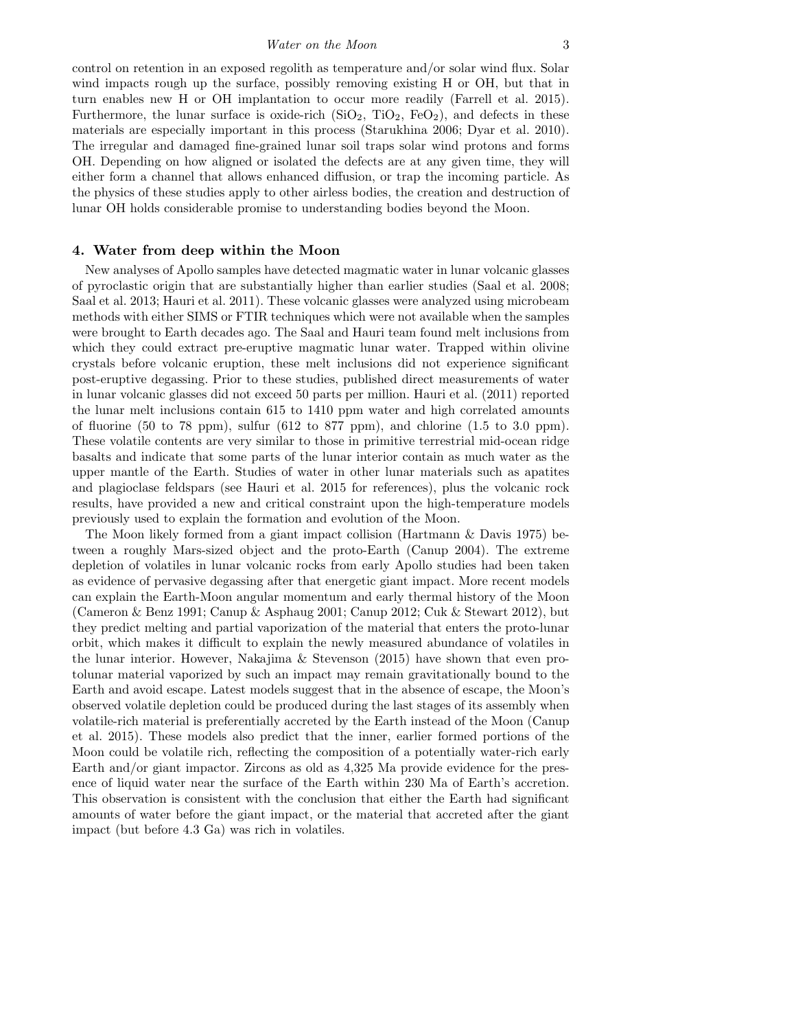control on retention in an exposed regolith as temperature and/or solar wind flux. Solar wind impacts rough up the surface, possibly removing existing H or OH, but that in turn enables new H or OH implantation to occur more readily (Farrell et al. 2015). Furthermore, the lunar surface is oxide-rich  $(SiO<sub>2</sub>, TiO<sub>2</sub>, FeO<sub>2</sub>)$ , and defects in these materials are especially important in this process (Starukhina 2006; Dyar et al. 2010). The irregular and damaged fine-grained lunar soil traps solar wind protons and forms OH. Depending on how aligned or isolated the defects are at any given time, they will either form a channel that allows enhanced diffusion, or trap the incoming particle. As the physics of these studies apply to other airless bodies, the creation and destruction of lunar OH holds considerable promise to understanding bodies beyond the Moon.

# 4. Water from deep within the Moon

New analyses of Apollo samples have detected magmatic water in lunar volcanic glasses of pyroclastic origin that are substantially higher than earlier studies (Saal et al. 2008; Saal et al. 2013; Hauri et al. 2011). These volcanic glasses were analyzed using microbeam methods with either SIMS or FTIR techniques which were not available when the samples were brought to Earth decades ago. The Saal and Hauri team found melt inclusions from which they could extract pre-eruptive magmatic lunar water. Trapped within olivine crystals before volcanic eruption, these melt inclusions did not experience significant post-eruptive degassing. Prior to these studies, published direct measurements of water in lunar volcanic glasses did not exceed 50 parts per million. Hauri et al. (2011) reported the lunar melt inclusions contain 615 to 1410 ppm water and high correlated amounts of fluorine  $(50 \text{ to } 78 \text{ ppm})$ , sulfur  $(612 \text{ to } 877 \text{ ppm})$ , and chlorine  $(1.5 \text{ to } 3.0 \text{ ppm})$ . These volatile contents are very similar to those in primitive terrestrial mid-ocean ridge basalts and indicate that some parts of the lunar interior contain as much water as the upper mantle of the Earth. Studies of water in other lunar materials such as apatites and plagioclase feldspars (see Hauri et al. 2015 for references), plus the volcanic rock results, have provided a new and critical constraint upon the high-temperature models previously used to explain the formation and evolution of the Moon.

The Moon likely formed from a giant impact collision (Hartmann & Davis 1975) between a roughly Mars-sized object and the proto-Earth (Canup 2004). The extreme depletion of volatiles in lunar volcanic rocks from early Apollo studies had been taken as evidence of pervasive degassing after that energetic giant impact. More recent models can explain the Earth-Moon angular momentum and early thermal history of the Moon (Cameron & Benz 1991; Canup & Asphaug 2001; Canup 2012; Cuk & Stewart 2012), but they predict melting and partial vaporization of the material that enters the proto-lunar orbit, which makes it difficult to explain the newly measured abundance of volatiles in the lunar interior. However, Nakajima & Stevenson (2015) have shown that even protolunar material vaporized by such an impact may remain gravitationally bound to the Earth and avoid escape. Latest models suggest that in the absence of escape, the Moon's observed volatile depletion could be produced during the last stages of its assembly when volatile-rich material is preferentially accreted by the Earth instead of the Moon (Canup et al. 2015). These models also predict that the inner, earlier formed portions of the Moon could be volatile rich, reflecting the composition of a potentially water-rich early Earth and/or giant impactor. Zircons as old as 4,325 Ma provide evidence for the presence of liquid water near the surface of the Earth within 230 Ma of Earth's accretion. This observation is consistent with the conclusion that either the Earth had significant amounts of water before the giant impact, or the material that accreted after the giant impact (but before 4.3 Ga) was rich in volatiles.